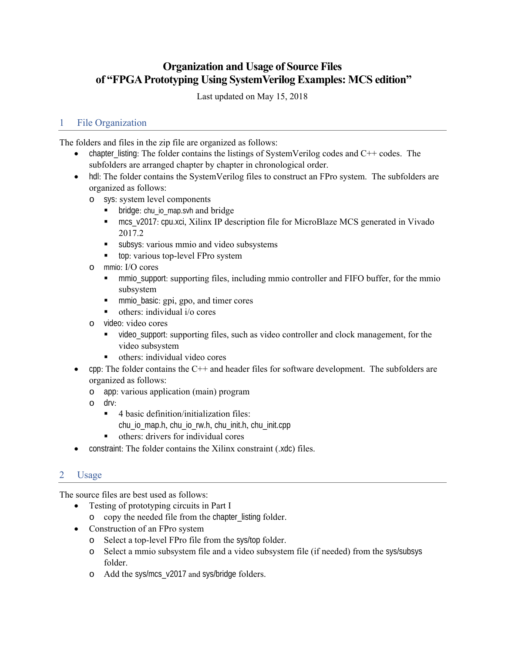# **Organization and Usage of Source Files of "FPGA Prototyping Using SystemVerilog Examples: MCS edition"**

Last updated on May 15, 2018

## 1 File Organization

The folders and files in the zip file are organized as follows:

- chapter\_listing: The folder contains the listings of SystemVerilog codes and  $C++$  codes. The subfolders are arranged chapter by chapter in chronological order.
- hdl: The folder contains the SystemVerilog files to construct an FPro system. The subfolders are organized as follows:
	- o sys: system level components
		- bridge: chu io map.svh and bridge
		- mcs\_v2017: cpu.xci, Xilinx IP description file for MicroBlaze MCS generated in Vivado 2017.2
		- subsys: various mmio and video subsystems
		- top: various top-level FPro system
	- o mmio: I/O cores
		- **Fall 1** mmio support: supporting files, including mmio controller and FIFO buffer, for the mmio subsystem
		- **mmio\_basic: gpi, gpo, and timer cores**
		- $\blacksquare$  others: individual i/o cores
	- o video: video cores
		- video\_support: supporting files, such as video controller and clock management, for the video subsystem
		- others: individual video cores
- cpp: The folder contains the C++ and header files for software development. The subfolders are organized as follows:
	- o app: various application (main) program
	- o drv:
		- 4 basic definition/initialization files: chu\_io\_map.h, chu\_io\_rw.h, chu\_init.h, chu\_init.cpp
		- others: drivers for individual cores
- constraint: The folder contains the Xilinx constraint (.xdc) files.

### 2 Usage

The source files are best used as follows:

- Testing of prototyping circuits in Part I
	- o copy the needed file from the chapter\_listing folder.
- Construction of an FPro system
	- o Select a top-level FPro file from the sys/top folder.
	- o Select a mmio subsystem file and a video subsystem file (if needed) from the sys/subsys folder.
	- o Add the sys/mcs\_v2017 and sys/bridge folders.